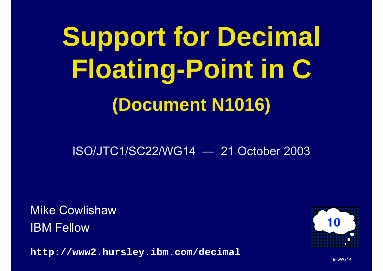**Support for Decimal Floating-Point in C (Document N1016)**

ISO/JTC1/SC22/WG14― 21 October 2003

Mike CowlishawIBM Fellow

**http://www2.hursley.ibm.com/decimal**

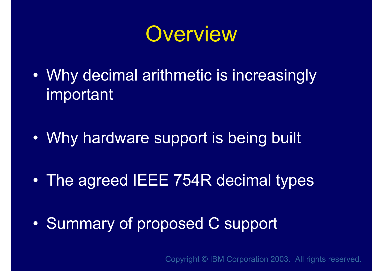

- • Why decimal arithmetic is increasingly important
- •Why hardware support is being built
- •The agreed IEEE 754R decimal types
- •Summary of proposed C support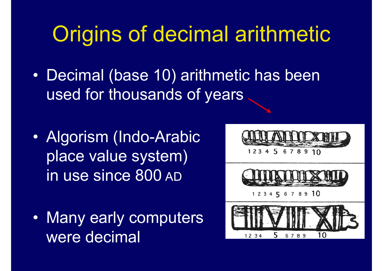# Origins of decimal arithmetic

- • Decimal (base 10) arithmetic has been used for thousands of years
- • Algorism (Indo-Arabic place value system) in use since 800 AD
- • Many early computers were decimal

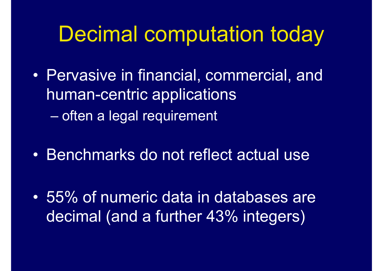## Decimal computation today

- • Pervasive in financial, commercial, and human-centric applications **Hart Communication** often a legal requirement
- •Benchmarks do not reflect actual use
- • 55% of numeric data in databases are decimal (and a further 43% integers)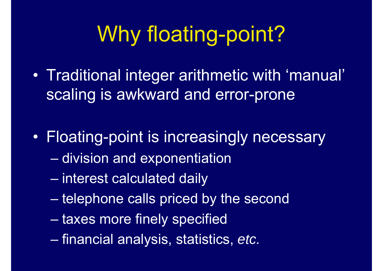# Why floating-point?

- • Traditional integer arithmetic with 'manual' scaling is awkward and error-prone
- $\bullet$  Floating-point is increasingly necessary – division and exponentiation
	- –interest calculated daily
	- –telephone calls priced by the second
	- **Hart Communication** taxes more finely specified
	- –financial analysis, statistics, *etc.*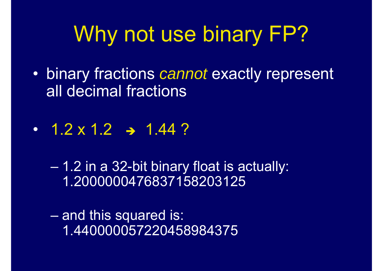# Why not use binary FP?

- $\bullet$  binary fractions *cannot* exactly represent all decimal fractions
- ••  $1.2 \times 1.2$   $\rightarrow$  1.44 ?
	- – 1.2 in a 32-bit binary float is actually: 1.2000000476837158203125

– and this squared is: 1.440000057220458984375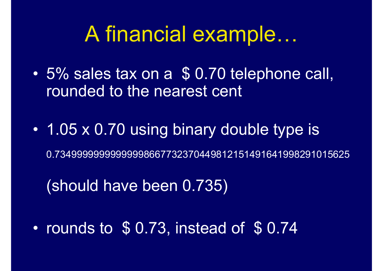#### A financial example…

- $\bullet$  5% sales tax on a \$ 0.70 telephone call, rounded to the nearest cent
- • 1.05 x 0.70 using binary double type is 0.73499999999999998667732370449812151491641998291015625

(should have been 0.735)

 $\bullet$ rounds to \$ 0.73, instead of \$ 0.74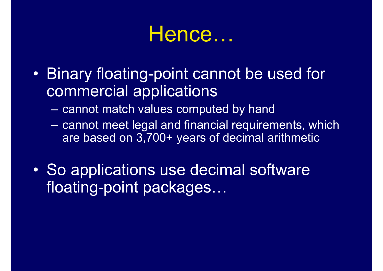## Hence…

- Binary floating-point cannot be used for commercial applications
	- $\mathcal{L}_{\mathcal{A}}$ cannot match values computed by hand
	- $\mathcal{L}_{\mathcal{A}}$  cannot meet legal and financial requirements, which are based on 3,700+ years of decimal arithmetic
- **e**  So applications use decimal software floating-point packages…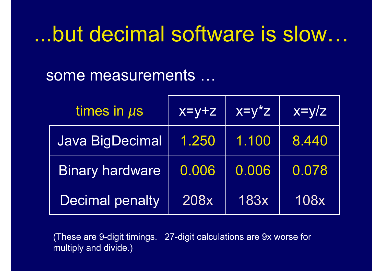#### ...but decimal software is slow…

#### some measurements …

| times in $\mu$ s       | $x=y+z$ | $x=y^*z$ | $x=y/z$ |
|------------------------|---------|----------|---------|
| <b>Java BigDecimal</b> | 1.250   | 1.100    | 8.440   |
| <b>Binary hardware</b> | 0.006   | 0.006    | 0.078   |
| Decimal penalty        | 208x    | 183x     | 108x    |

(These are 9-digit timings. 27-digit calculations are 9x worse for multiply and divide.)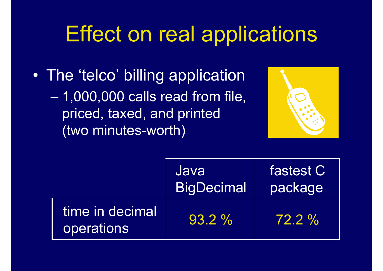## Effect on real applications

• The 'telco' billing application – 1,000,000 calls read from file, priced, taxed, and printed (two minutes-worth)



|                               | Java<br><b>BigDecimal</b> | fastest C<br>package |
|-------------------------------|---------------------------|----------------------|
| time in decimal<br>operations | $93.2 \%$                 | $72.2\%$             |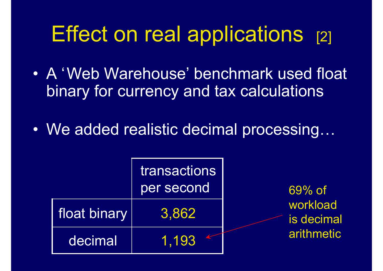# Effect on real applications [2]

- $\bullet$  A 'Web Warehouse' benchmark used float binary for currency and tax calculations
- •We added realistic decimal processing…

|              | <b>transactions</b><br>per second | $69%$ of               |
|--------------|-----------------------------------|------------------------|
| float binary | 3,862                             | workload<br>is decimal |
| decimal      | 1,193                             | arithmetic             |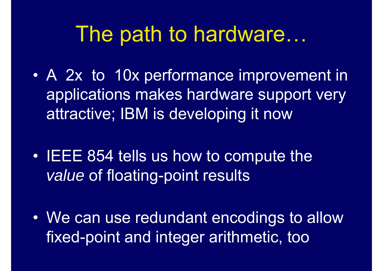#### The path to hardware…

- • A 2x to 10x performance improvement in applications makes hardware support very attractive; IBM is developing it now
- • IEEE 854 tells us how to compute the *value* of floating-point results
- • We can use redundant encodings to allow fixed-point and integer arithmetic, too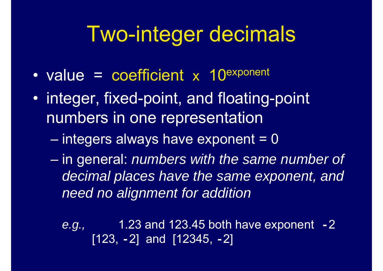# Two-integer decimals

- •value = coefficient x 10exponent
- • integer, fixed-point, and floating-point numbers in one representation
	- –integers always have exponent = 0
	- **Hart Communication**  in general: *numbers with the same number of decimal places have the same exponent, and need no alignment for addition*

*e.g.,* 1.23 and 123.45 both have exponent **-** 2 [123, **-**2] and [12345, **-**2]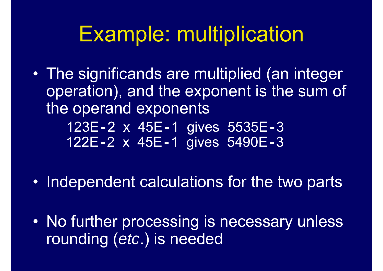## Example: multiplication

 $\bullet$  The significands are multiplied (an integer operation), and the exponent is the sum of the operand exponents

123E **-**2 x 45E **-**1 gives 5535E **-** 3 122E **-**2 x 45E **-**1 gives 5490E **-** 3

- $\bullet$ Independent calculations for the two parts
- • No further processing is necessary unless rounding (*etc*.) is needed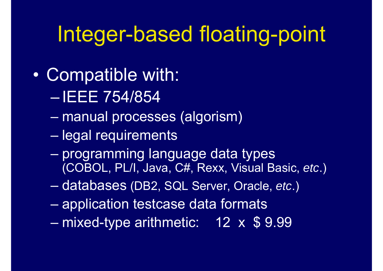# Integer-based floating-point

- $\bullet$  Compatible with:
	- $\mathcal{L}_{\mathcal{A}}$  , where  $\mathcal{L}_{\mathcal{A}}$  is the set of the set of the set of the set of the set of the set of the set of the set of the set of the set of the set of the set of the set of the set of the set of the set of the IEEE 754/854
	- –manual processes (algorism)
	- –legal requirements
	- **Hart Communication**  programming language data types (COBOL, PL/I, Java, C#, Rexx, Visual Basic, *etc*.)
	- databases (DB2, SQL Server, Oracle, *etc*.)
	- –application testcase data formats
	- –mixed-type arithmetic: 12 x \$ 9.99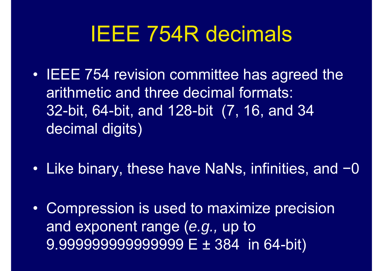# IEEE 754R decimals

- $\bullet$  IEEE 754 revision committee has agreed the arithmetic and three decimal formats: 32-bit, 64-bit, and 128-bit (7, 16, and 34 decimal digits)
- $\bullet$  Like binary, these have NaNs, infinities, and −− 0
- $\bullet$  Compression is used to maximize precision and exponent range (*e.g.,* up to 9.999999999999999 E ± 384 in 64-bit)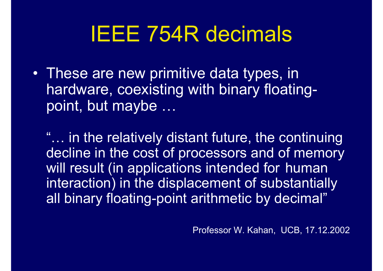# IEEE 754R decimals

• These are new primitive data types, in hardware, coexisting with binary floatingpoint, but maybe …

"… in the relatively distant future, the continuing decline in the cost of processors and of memory will result (in applications intended for human interaction) in the displacement of substantially all binary floating-point arithmetic by decimal"

Professor W. Kahan, UCB, 17.12.2002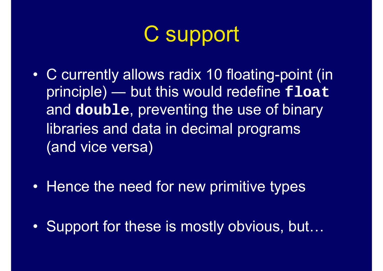# C support

- $\bullet$  C currently allows radix 10 floating-point (in principle) ― but this would redefine **float** and **double**, preventing the use of binary libraries and data in decimal programs (and vice versa)
- $\bullet$ Hence the need for new primitive types
- $\bullet$ Support for these is mostly obvious, but…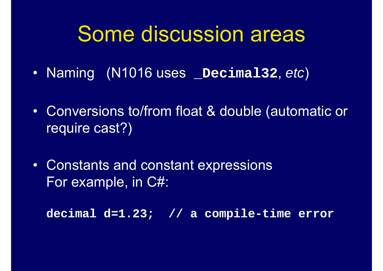#### Some discussion areas

- Naming (N1016 uses **\_Decimal32**, *etc* )
- Conversions to/from float & double (automatic or require cast?)
- Constants and constant expressions For example, in C#:

**decimal d=1.23; // a compile-time error**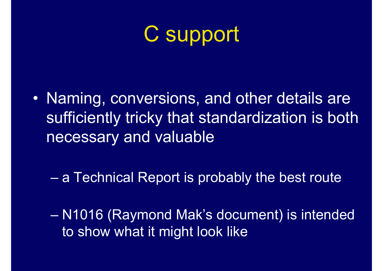# C support

• Naming, conversions, and other details are sufficiently tricky that standardization is both necessary and valuable

**Hart Communication** a Technical Report is probably the best route

– N1016 (Raymond Mak's document) is intended to show what it might look like